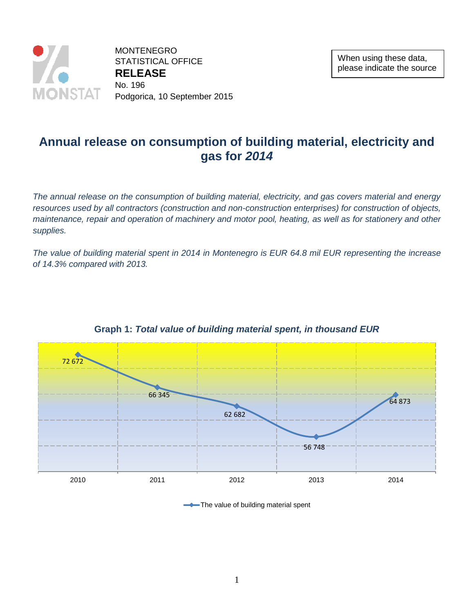

MONTENEGRO STATISTICAL OFFICE **RELEASE**  No. 196 Podgorica, 10 September 2015

# **Annual release on consumption of building material, electricity and gas for** *2014*

*The annual release on the consumption of building material, electricity, and gas covers material and energy*  resources used by all contractors (construction and non-construction enterprises) for construction of objects, *maintenance, repair and operation of machinery and motor pool, heating, as well as for stationery and other supplies.*

*The value of building material spent in 2014 in Montenegro is EUR 64.8 mil EUR representing the increase of 14.3% compared with 2013.*



### **Graph 1:** *Total value of building material spent, in thousand EUR*

The value of building material spent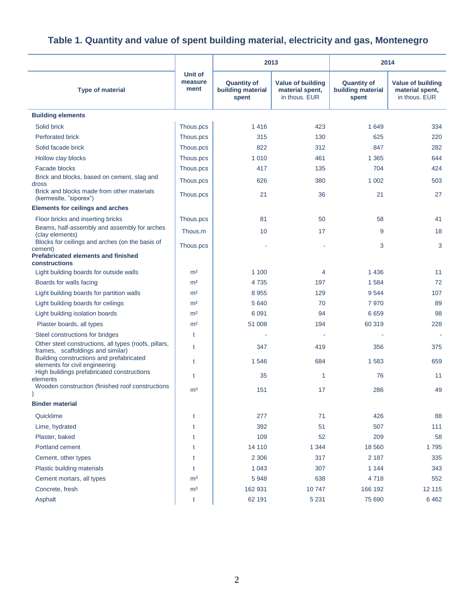|                                                                                                          |                            | 2013                                             | 2014                                                         |                                                  |                                                       |
|----------------------------------------------------------------------------------------------------------|----------------------------|--------------------------------------------------|--------------------------------------------------------------|--------------------------------------------------|-------------------------------------------------------|
| <b>Type of material</b>                                                                                  | Unit of<br>measure<br>ment | <b>Quantity of</b><br>building material<br>spent | <b>Value of building</b><br>material spent,<br>in thous. EUR | <b>Quantity of</b><br>building material<br>spent | Value of building<br>material spent,<br>in thous. EUR |
| <b>Building elements</b>                                                                                 |                            |                                                  |                                                              |                                                  |                                                       |
| Solid brick                                                                                              | Thous.pcs                  | 1416                                             | 423                                                          | 1 6 4 9                                          | 334                                                   |
| <b>Perforated brick</b>                                                                                  | Thous.pcs                  | 315                                              | 130                                                          | 625                                              | 220                                                   |
| Solid facade brick                                                                                       | Thous.pcs                  | 822                                              | 312                                                          | 847                                              | 282                                                   |
| Hollow clay blocks                                                                                       | Thous.pcs                  | 1010                                             | 461                                                          | 1 3 6 5                                          | 644                                                   |
| Facade blocks                                                                                            | Thous.pcs                  | 417                                              | 135                                                          | 704                                              | 424                                                   |
| Brick and blocks, based on cement, slag and                                                              | Thous.pcs                  | 626                                              | 380                                                          | 1 0 0 2                                          | 503                                                   |
| dross<br>Brick and blocks made from other materials<br>(kermesite, "siporex")                            | Thous.pcs                  | 21                                               | 36                                                           | 21                                               | 27                                                    |
| <b>Elements for ceilings and arches</b>                                                                  |                            |                                                  |                                                              |                                                  |                                                       |
| Floor bricks and inserting bricks                                                                        | Thous.pcs                  | 81                                               | 50                                                           | 58                                               | 41                                                    |
| Beams, half-assembly and assembly for arches<br>(clay elements)                                          | Thous.m                    | 10                                               | 17                                                           | 9                                                | 18                                                    |
| Blocks for ceilings and arches (on the basis of<br>cement)<br><b>Prefabricated elements and finished</b> | Thous.pcs                  |                                                  |                                                              | 3                                                | 3                                                     |
| constructions                                                                                            |                            |                                                  |                                                              |                                                  |                                                       |
| Light building boards for outside walls                                                                  | m <sup>2</sup>             | 1 100                                            | 4                                                            | 1436                                             | 11                                                    |
| Boards for walls facing                                                                                  | m <sup>2</sup>             | 4735                                             | 197                                                          | 1584                                             | 72                                                    |
| Light building boards for partition walls                                                                | m <sup>2</sup>             | 8955                                             | 129                                                          | 9544                                             | 107                                                   |
| Light building boards for ceilings                                                                       | m <sup>2</sup>             | 5640                                             | 70                                                           | 7970                                             | 89                                                    |
| Light building isolation boards                                                                          | m <sup>2</sup>             | 6 0 9 1                                          | 94                                                           | 6659                                             | 98                                                    |
| Plaster boards, all types                                                                                | m <sup>2</sup>             | 51 008                                           | 194                                                          | 60 319                                           | 228                                                   |
| Steel constructions for bridges<br>Other steel constructions, all types (roofs, pillars,                 | t                          |                                                  | ÷                                                            |                                                  |                                                       |
| frames, scaffoldings and similar)                                                                        | $\mathsf{t}$               | 347                                              | 419                                                          | 356                                              | 375                                                   |
| Building constructions and prefabricated<br>elements for civil engineering                               | t                          | 1546                                             | 684                                                          | 1583                                             | 659                                                   |
| High buildings prefabricated constructions<br>elements                                                   | t                          | 35                                               | $\mathbf{1}$                                                 | 76                                               | 11                                                    |
| Wooden construction (finished roof constructions                                                         | m <sup>3</sup>             | 151                                              | 17                                                           | 286                                              | 49                                                    |
| <b>Binder material</b>                                                                                   |                            |                                                  |                                                              |                                                  |                                                       |
| Quicklime                                                                                                | t                          | 277                                              | 71                                                           | 426                                              | 88                                                    |
| Lime, hydrated                                                                                           | t                          | 392                                              | 51                                                           | 507                                              | 111                                                   |
| Plaster, baked                                                                                           | t                          | 109                                              | 52                                                           | 209                                              | 58                                                    |
| Portland cement                                                                                          | t                          | 14 110                                           | 1 3 4 4                                                      | 18 5 60                                          | 1795                                                  |
| Cement, other types                                                                                      | t                          | 2 3 0 6                                          | 317                                                          | 2 1 8 7                                          | 335                                                   |
| Plastic building materials                                                                               | t                          | 1 0 4 3                                          | 307                                                          | 1 1 4 4                                          | 343                                                   |
| Cement mortars, all types                                                                                | m <sup>3</sup>             | 5948                                             | 638                                                          | 4718                                             | 552                                                   |
| Concrete, fresh                                                                                          | m <sup>3</sup>             | 162 931                                          | 10747                                                        | 166 192                                          | 12 115                                                |
| Asphalt                                                                                                  | t                          | 62 191                                           | 5 2 3 1                                                      | 75 690                                           | 6462                                                  |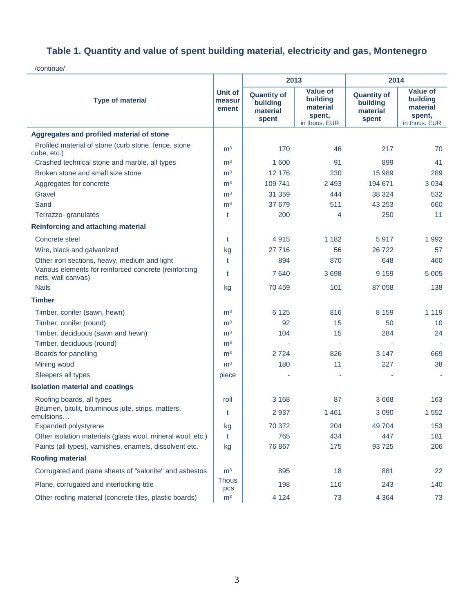/continue/

| <b>Type of material</b>                                                     |                      | 2013                                                |                                                                    | 2014                                                |                                                                    |  |
|-----------------------------------------------------------------------------|----------------------|-----------------------------------------------------|--------------------------------------------------------------------|-----------------------------------------------------|--------------------------------------------------------------------|--|
|                                                                             |                      | <b>Quantity of</b><br>building<br>material<br>spent | <b>Value of</b><br>building<br>material<br>spent,<br>in thous. EUR | <b>Quantity of</b><br>building<br>material<br>spent | <b>Value of</b><br>building<br>material<br>spent,<br>in thous. EUR |  |
| Aggregates and profiled material of stone                                   |                      |                                                     |                                                                    |                                                     |                                                                    |  |
| Profiled material of stone (curb stone, fence, stone<br>cube, etc.)         | m <sup>3</sup>       | 170                                                 | 46                                                                 | 217                                                 | 70                                                                 |  |
| Crashed technical stone and marble, all types                               | m <sup>3</sup>       | 1 600                                               | 91                                                                 | 899                                                 | 41                                                                 |  |
| Broken stone and small size stone                                           | m <sup>3</sup>       | 12 176                                              | 230                                                                | 15 989                                              | 289                                                                |  |
| Aggregates for concrete                                                     | m <sup>3</sup>       | 109 741                                             | 2 4 9 3                                                            | 194 671                                             | 3 0 3 4                                                            |  |
| Gravel                                                                      | m <sup>3</sup>       | 31 359                                              | 444                                                                | 38 324                                              | 532                                                                |  |
| Sand                                                                        | m <sup>3</sup>       | 37 679                                              | 511                                                                | 43 253                                              | 660                                                                |  |
| Terrazzo- granulates                                                        | t                    | 200                                                 | 4                                                                  | 250                                                 | 11                                                                 |  |
| <b>Reinforcing and attaching material</b>                                   |                      |                                                     |                                                                    |                                                     |                                                                    |  |
| Concrete steel                                                              | t                    | 4915                                                | 1 1 8 2                                                            | 5917                                                | 1 9 9 2                                                            |  |
| Wire, black and galvanized                                                  | kg                   | 27 716                                              | 56                                                                 | 26 722                                              | 57                                                                 |  |
| Other iron sections, heavy, medium and light                                | t                    | 894                                                 | 870                                                                | 648                                                 | 460                                                                |  |
| Various elements for reinforced concrete (reinforcing<br>nets, wall canvas) |                      | 7640                                                | 3698                                                               | 9 1 5 9                                             | 5 0 0 5                                                            |  |
| <b>Nails</b>                                                                | kg                   | 70 459                                              | 101                                                                | 87 058                                              | 138                                                                |  |
| <b>Timber</b>                                                               |                      |                                                     |                                                                    |                                                     |                                                                    |  |
| Timber, conifer (sawn, hewn)                                                | m <sup>3</sup>       | 6 1 2 5                                             | 816                                                                | 8 1 5 9                                             | 1 1 1 9                                                            |  |
| Timber, conifer (round)                                                     | m <sup>3</sup>       | 92                                                  | 15                                                                 | 50                                                  | 10 <sup>1</sup>                                                    |  |
| Timber, deciduous (sawn and hewn)                                           | m <sup>3</sup>       | 104                                                 | 15                                                                 | 284                                                 | 24                                                                 |  |
| Timber, deciduous (round)                                                   | m <sup>3</sup>       |                                                     |                                                                    | ä,                                                  |                                                                    |  |
| Boards for panelling                                                        | m <sup>3</sup>       | 2724                                                | 826                                                                | 3 1 4 7                                             | 669                                                                |  |
| Mining wood                                                                 | m <sup>3</sup>       | 180                                                 | 11                                                                 | 227                                                 | 38                                                                 |  |
| Sleepers all types                                                          | piece                |                                                     |                                                                    |                                                     |                                                                    |  |
| <b>Isolation material and coatings</b>                                      |                      |                                                     |                                                                    |                                                     |                                                                    |  |
| Roofing boards, all types                                                   | roll                 | 3 1 6 8                                             | 87                                                                 | 3 6 6 8                                             | 163                                                                |  |
| Bitumen, bitulit, bituminous jute, strips, matters,<br>emulsions            | t                    | 2937                                                | 1461                                                               | 3 0 9 0                                             | 1 5 5 2                                                            |  |
| Expanded polystyrene                                                        | kg                   | 70 372                                              | 204                                                                | 49 704                                              | 153                                                                |  |
| Other isolation materials (glass wool, mineral wool. etc.)                  | t                    | 765                                                 | 434                                                                | 447                                                 | 181                                                                |  |
| Paints (all types), varnishes, enamels, dissolvent etc.                     | kg                   | 76 867                                              | 175                                                                | 93 725                                              | 206                                                                |  |
| <b>Roofing material</b>                                                     |                      |                                                     |                                                                    |                                                     |                                                                    |  |
| Corrugated and plane sheets of "salonite" and asbestos                      | m <sup>3</sup>       | 895                                                 | 18                                                                 | 881                                                 | 22                                                                 |  |
| Plane, corrugated and interlocking title                                    | <b>Thous</b><br>.pcs | 198                                                 | 116                                                                | 243                                                 | 140                                                                |  |
| Other roofing material (concrete tiles, plastic boards)                     | m <sup>2</sup>       | 4 1 2 4                                             | 73                                                                 | 4 3 6 4                                             | 73                                                                 |  |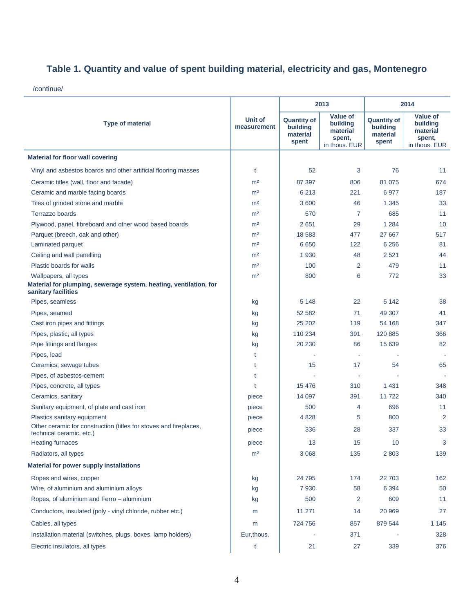/continue/

|                                                                                               |                        | 2013                                                |                                                                    | 2014                                                |                                                             |
|-----------------------------------------------------------------------------------------------|------------------------|-----------------------------------------------------|--------------------------------------------------------------------|-----------------------------------------------------|-------------------------------------------------------------|
| <b>Type of material</b>                                                                       | Unit of<br>measurement | <b>Quantity of</b><br>building<br>material<br>spent | <b>Value of</b><br>building<br>material<br>spent,<br>in thous. EUR | <b>Quantity of</b><br>building<br>material<br>spent | Value of<br>building<br>material<br>spent,<br>in thous. EUR |
| <b>Material for floor wall covering</b>                                                       |                        |                                                     |                                                                    |                                                     |                                                             |
| Vinyl and asbestos boards and other artificial flooring masses                                | t                      | 52                                                  | 3                                                                  | 76                                                  | 11                                                          |
| Ceramic titles (wall, floor and facade)                                                       | m <sup>2</sup>         | 87 397                                              | 806                                                                | 81 075                                              | 674                                                         |
| Ceramic and marble facing boards                                                              | m <sup>2</sup>         | 6 2 1 3                                             | 221                                                                | 6977                                                | 187                                                         |
| Tiles of grinded stone and marble                                                             | m <sup>2</sup>         | 3 600                                               | 46                                                                 | 1 3 4 5                                             | 33                                                          |
| Terrazzo boards                                                                               | m <sup>2</sup>         | 570                                                 | $\overline{7}$                                                     | 685                                                 | 11                                                          |
| Plywood, panel, fibreboard and other wood based boards                                        | m <sup>2</sup>         | 2651                                                | 29                                                                 | 1 2 8 4                                             | 10                                                          |
| Parquet (breech, oak and other)                                                               | m <sup>2</sup>         | 18 5 83                                             | 477                                                                | 27 667                                              | 517                                                         |
| Laminated parquet                                                                             | m <sup>2</sup>         | 6650                                                | 122                                                                | 6 2 5 6                                             | 81                                                          |
| Ceiling and wall panelling                                                                    | m <sup>2</sup>         | 1 9 3 0                                             | 48                                                                 | 2 5 21                                              | 44                                                          |
| Plastic boards for walls                                                                      | m <sup>2</sup>         | 100                                                 | 2                                                                  | 479                                                 | 11                                                          |
| Wallpapers, all types                                                                         | m <sup>2</sup>         | 800                                                 | 6                                                                  | 772                                                 | 33                                                          |
| Material for plumping, sewerage system, heating, ventilation, for<br>sanitary facilities      |                        |                                                     |                                                                    |                                                     |                                                             |
| Pipes, seamless                                                                               | kg                     | 5 1 4 8                                             | 22                                                                 | 5 1 4 2                                             | 38                                                          |
| Pipes, seamed                                                                                 | kg                     | 52 582                                              | 71                                                                 | 49 307                                              | 41                                                          |
| Cast iron pipes and fittings                                                                  | kg                     | 25 20 2                                             | 119                                                                | 54 168                                              | 347                                                         |
| Pipes, plastic, all types                                                                     | kg                     | 110 234                                             | 391                                                                | 120 885                                             | 366                                                         |
| Pipe fittings and flanges                                                                     | kg                     | 20 230                                              | 86                                                                 | 15 639                                              | 82                                                          |
| Pipes, lead                                                                                   | t                      |                                                     | $\sim$                                                             |                                                     |                                                             |
| Ceramics, sewage tubes                                                                        | t                      | 15                                                  | 17                                                                 | 54                                                  | 65                                                          |
| Pipes, of asbestos-cement                                                                     | t                      |                                                     | $\sim$                                                             |                                                     |                                                             |
| Pipes, concrete, all types                                                                    | t                      | 15 4 76                                             | 310                                                                | 1 4 3 1                                             | 348                                                         |
| Ceramics, sanitary                                                                            | piece                  | 14 097                                              | 391                                                                | 11722                                               | 340                                                         |
| Sanitary equipment, of plate and cast iron                                                    | piece                  | 500                                                 | 4                                                                  | 696                                                 | 11                                                          |
| Plastics sanitary equipment                                                                   | piece                  | 4828                                                | 5                                                                  | 800                                                 | 2                                                           |
| Other ceramic for construction (titles for stoves and fireplaces,<br>technical ceramic, etc.) | piece                  | 336                                                 | 28                                                                 | 337                                                 | 33                                                          |
| Heating furnaces                                                                              | piece                  | 13                                                  | 15                                                                 | 10                                                  | 3                                                           |
| Radiators, all types                                                                          | m <sup>2</sup>         | 3 0 6 8                                             | 135                                                                | 2 8 0 3                                             | 139                                                         |
| <b>Material for power supply installations</b>                                                |                        |                                                     |                                                                    |                                                     |                                                             |
| Ropes and wires, copper                                                                       | kg                     | 24 795                                              | 174                                                                | 22 703                                              | 162                                                         |
| Wire, of aluminium and aluminium alloys                                                       | kg                     | 7930                                                | 58                                                                 | 6 3 9 4                                             | 50                                                          |
| Ropes, of aluminium and Ferro - aluminium                                                     | kg                     | 500                                                 | 2                                                                  | 609                                                 | 11                                                          |
| Conductors, insulated (poly - vinyl chloride, rubber etc.)                                    | m                      | 11 271                                              | 14                                                                 | 20 969                                              | 27                                                          |
| Cables, all types                                                                             | m                      | 724 756                                             | 857                                                                | 879 544                                             | 1 1 4 5                                                     |
| Installation material (switches, plugs, boxes, lamp holders)                                  | Eur, thous.            |                                                     | 371                                                                |                                                     | 328                                                         |
| Electric insulators, all types                                                                | t                      | 21                                                  | 27                                                                 | 339                                                 | 376                                                         |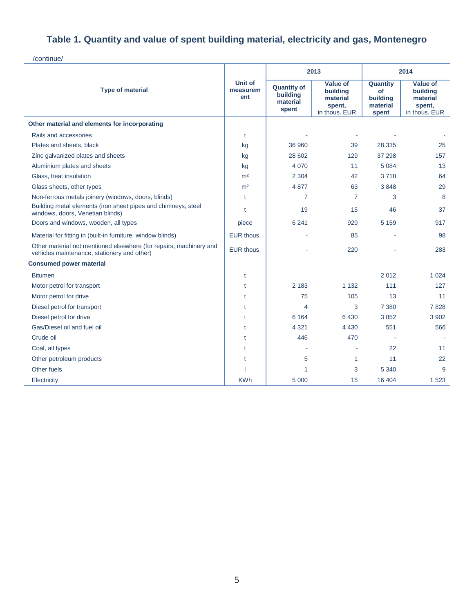/continue/

|                                                                                                                   | Unit of<br>measurem<br>ent |                                                     | 2013                                                        | 2014                                                   |                                                                    |
|-------------------------------------------------------------------------------------------------------------------|----------------------------|-----------------------------------------------------|-------------------------------------------------------------|--------------------------------------------------------|--------------------------------------------------------------------|
| <b>Type of material</b>                                                                                           |                            | <b>Quantity of</b><br>building<br>material<br>spent | Value of<br>building<br>material<br>spent,<br>in thous. EUR | Quantity<br><b>of</b><br>building<br>material<br>spent | <b>Value of</b><br>building<br>material<br>spent,<br>in thous. EUR |
| Other material and elements for incorporating                                                                     |                            |                                                     |                                                             |                                                        |                                                                    |
| Rails and accessories                                                                                             | t                          |                                                     |                                                             |                                                        |                                                                    |
| Plates and sheets, black                                                                                          | kg                         | 36 960                                              | 39                                                          | 28 335                                                 | 25                                                                 |
| Zinc galvanized plates and sheets                                                                                 | kg                         | 28 602                                              | 129                                                         | 37 298                                                 | 157                                                                |
| Aluminium plates and sheets                                                                                       | kg                         | 4 0 7 0                                             | 11                                                          | 5 0 8 4                                                | 13                                                                 |
| Glass, heat insulation                                                                                            | m <sup>2</sup>             | 2 3 0 4                                             | 42                                                          | 3718                                                   | 64                                                                 |
| Glass sheets, other types                                                                                         | m <sup>2</sup>             | 4877                                                | 63                                                          | 3848                                                   | 29                                                                 |
| Non-ferrous metals joinery (windows, doors, blinds)                                                               | t                          | 7                                                   | $\overline{7}$                                              | 3                                                      | 8                                                                  |
| Building metal elements (iron sheet pipes and chimneys, steel<br>windows, doors, Venetian blinds)                 | $\ddagger$                 | 19                                                  | 15                                                          | 46                                                     | 37                                                                 |
| Doors and windows, wooden, all types                                                                              | piece                      | 6 2 4 1                                             | 929                                                         | 5 1 5 9                                                | 917                                                                |
| Material for fitting in (built-in furniture, window blinds)                                                       | EUR thous.                 |                                                     | 85                                                          |                                                        | 98                                                                 |
| Other material not mentioned elsewhere (for repairs, machinery and<br>vehicles maintenance, stationery and other) | EUR thous.                 |                                                     | 220                                                         |                                                        | 283                                                                |
| <b>Consumed power material</b>                                                                                    |                            |                                                     |                                                             |                                                        |                                                                    |
| <b>Bitumen</b>                                                                                                    | t                          |                                                     |                                                             | 2012                                                   | 1 0 2 4                                                            |
| Motor petrol for transport                                                                                        | t                          | 2 183                                               | 1 1 3 2                                                     | 111                                                    | 127                                                                |
| Motor petrol for drive                                                                                            | t                          | 75                                                  | 105                                                         | 13                                                     | 11                                                                 |
| Diesel petrol for transport                                                                                       | t                          | 4                                                   | 3                                                           | 7 3 8 0                                                | 7828                                                               |
| Diesel petrol for drive                                                                                           | t                          | 6 1 6 4                                             | 6430                                                        | 3852                                                   | 3 9 0 2                                                            |
| Gas/Diesel oil and fuel oil                                                                                       | t                          | 4 3 2 1                                             | 4 4 3 0                                                     | 551                                                    | 566                                                                |
| Crude oil                                                                                                         | t                          | 446                                                 | 470                                                         |                                                        |                                                                    |
| Coal, all types                                                                                                   | t                          |                                                     |                                                             | 22                                                     | 11                                                                 |
| Other petroleum products                                                                                          | t                          | 5                                                   | 1                                                           | 11                                                     | 22                                                                 |
| Other fuels                                                                                                       |                            | 1                                                   | 3                                                           | 5 3 4 0                                                | 9                                                                  |
| Electricity                                                                                                       | <b>KWh</b>                 | 5 0 0 0                                             | 15                                                          | 16 404                                                 | 1 5 2 3                                                            |